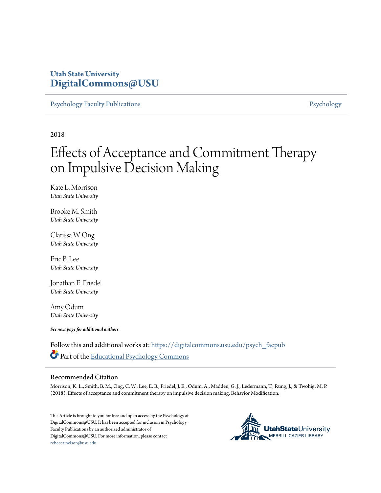## **Utah State University [DigitalCommons@USU](https://digitalcommons.usu.edu?utm_source=digitalcommons.usu.edu%2Fpsych_facpub%2F1776&utm_medium=PDF&utm_campaign=PDFCoverPages)**

[Psychology Faculty Publications](https://digitalcommons.usu.edu/psych_facpub?utm_source=digitalcommons.usu.edu%2Fpsych_facpub%2F1776&utm_medium=PDF&utm_campaign=PDFCoverPages) **[Psychology](https://digitalcommons.usu.edu/psych?utm_source=digitalcommons.usu.edu%2Fpsych_facpub%2F1776&utm_medium=PDF&utm_campaign=PDFCoverPages)** 

2018

# Effects of Acceptance and Commitment Therapy on Impulsive Decision Making

Kate L. Morrison *Utah State University*

Brooke M. Smith *Utah State University*

Clarissa W. Ong *Utah State University*

Eric B. Lee *Utah State University*

Jonathan E. Friedel *Utah State University*

Amy Odum *Utah State University*

*See next page for additional authors*

Follow this and additional works at: [https://digitalcommons.usu.edu/psych\\_facpub](https://digitalcommons.usu.edu/psych_facpub?utm_source=digitalcommons.usu.edu%2Fpsych_facpub%2F1776&utm_medium=PDF&utm_campaign=PDFCoverPages) Part of the [Educational Psychology Commons](http://network.bepress.com/hgg/discipline/798?utm_source=digitalcommons.usu.edu%2Fpsych_facpub%2F1776&utm_medium=PDF&utm_campaign=PDFCoverPages)

### Recommended Citation

Morrison, K. L., Smith, B. M., Ong, C. W., Lee, E. B., Friedel, J. E., Odum, A., Madden, G. J., Ledermann, T., Rung, J., & Twohig, M. P. (2018). Effects of acceptance and commitment therapy on impulsive decision making. Behavior Modification.

This Article is brought to you for free and open access by the Psychology at DigitalCommons@USU. It has been accepted for inclusion in Psychology Faculty Publications by an authorized administrator of DigitalCommons@USU. For more information, please contact [rebecca.nelson@usu.edu](mailto:rebecca.nelson@usu.edu).

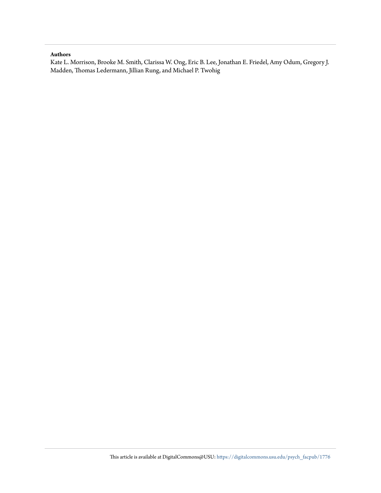#### **Authors**

Kate L. Morrison, Brooke M. Smith, Clarissa W. Ong, Eric B. Lee, Jonathan E. Friedel, Amy Odum, Gregory J. Madden, Thomas Ledermann, Jillian Rung, and Michael P. Twohig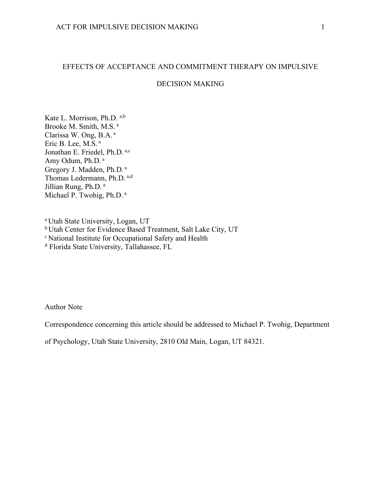## EFFECTS OF ACCEPTANCE AND COMMITMENT THERAPY ON IMPULSIVE

## DECISION MAKING

Kate L. Morrison, Ph.D. a,b Brooke M. Smith, M.S. <sup>a</sup> Clarissa W. Ong, B.A. <sup>a</sup> Eric B. Lee, M.S. <sup>a</sup> Jonathan E. Friedel, Ph.D. a,c Amy Odum, Ph.D. <sup>a</sup> Gregory J. Madden, Ph.D. <sup>a</sup> Thomas Ledermann, Ph.D. a,d Jillian Rung, Ph.D. <sup>a</sup> Michael P. Twohig, Ph.D. <sup>a</sup>

<sup>a</sup> Utah State University, Logan, UT <sup>b</sup> Utah Center for Evidence Based Treatment, Salt Lake City, UT <sup>c</sup> National Institute for Occupational Safety and Health <sup>d</sup> Florida State University, Tallahassee, FL

Author Note

Correspondence concerning this article should be addressed to Michael P. Twohig, Department

of Psychology, Utah State University, 2810 Old Main, Logan, UT 84321.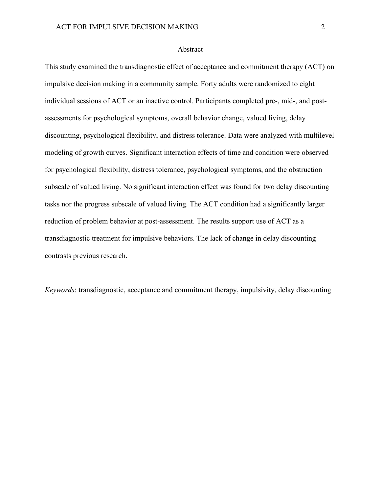## Abstract

This study examined the transdiagnostic effect of acceptance and commitment therapy (ACT) on impulsive decision making in a community sample. Forty adults were randomized to eight individual sessions of ACT or an inactive control. Participants completed pre-, mid-, and postassessments for psychological symptoms, overall behavior change, valued living, delay discounting, psychological flexibility, and distress tolerance. Data were analyzed with multilevel modeling of growth curves. Significant interaction effects of time and condition were observed for psychological flexibility, distress tolerance, psychological symptoms, and the obstruction subscale of valued living. No significant interaction effect was found for two delay discounting tasks nor the progress subscale of valued living. The ACT condition had a significantly larger reduction of problem behavior at post-assessment. The results support use of ACT as a transdiagnostic treatment for impulsive behaviors. The lack of change in delay discounting contrasts previous research.

*Keywords*: transdiagnostic, acceptance and commitment therapy, impulsivity, delay discounting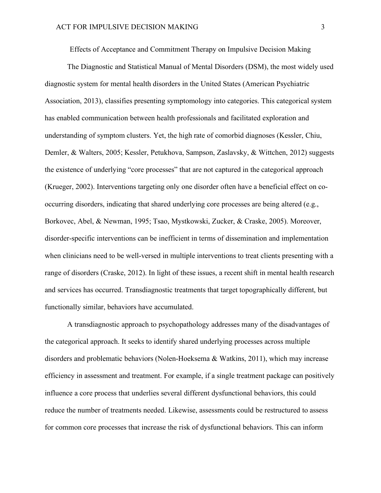Effects of Acceptance and Commitment Therapy on Impulsive Decision Making

The Diagnostic and Statistical Manual of Mental Disorders (DSM), the most widely used diagnostic system for mental health disorders in the United States (American Psychiatric Association, 2013), classifies presenting symptomology into categories. This categorical system has enabled communication between health professionals and facilitated exploration and understanding of symptom clusters. Yet, the high rate of comorbid diagnoses (Kessler, Chiu, Demler, & Walters, 2005; Kessler, Petukhova, Sampson, Zaslavsky, & Wittchen, 2012) suggests the existence of underlying "core processes" that are not captured in the categorical approach (Krueger, 2002). Interventions targeting only one disorder often have a beneficial effect on cooccurring disorders, indicating that shared underlying core processes are being altered (e.g., Borkovec, Abel, & Newman, 1995; Tsao, Mystkowski, Zucker, & Craske, 2005). Moreover, disorder-specific interventions can be inefficient in terms of dissemination and implementation when clinicians need to be well-versed in multiple interventions to treat clients presenting with a range of disorders (Craske, 2012). In light of these issues, a recent shift in mental health research and services has occurred. Transdiagnostic treatments that target topographically different, but functionally similar, behaviors have accumulated.

A transdiagnostic approach to psychopathology addresses many of the disadvantages of the categorical approach. It seeks to identify shared underlying processes across multiple disorders and problematic behaviors (Nolen-Hoeksema & Watkins, 2011), which may increase efficiency in assessment and treatment. For example, if a single treatment package can positively influence a core process that underlies several different dysfunctional behaviors, this could reduce the number of treatments needed. Likewise, assessments could be restructured to assess for common core processes that increase the risk of dysfunctional behaviors. This can inform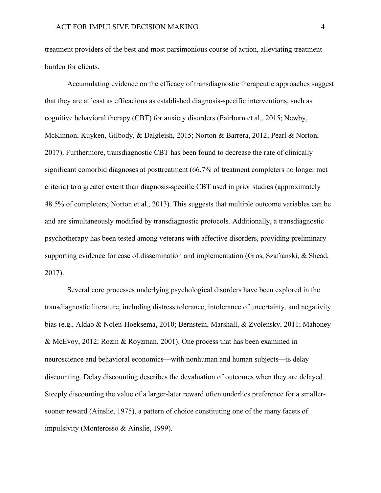treatment providers of the best and most parsimonious course of action, alleviating treatment burden for clients.

Accumulating evidence on the efficacy of transdiagnostic therapeutic approaches suggest that they are at least as efficacious as established diagnosis-specific interventions, such as cognitive behavioral therapy (CBT) for anxiety disorders (Fairburn et al., 2015; Newby, McKinnon, Kuyken, Gilbody, & Dalgleish, 2015; Norton & Barrera, 2012; Pearl & Norton, 2017). Furthermore, transdiagnostic CBT has been found to decrease the rate of clinically significant comorbid diagnoses at posttreatment (66.7% of treatment completers no longer met criteria) to a greater extent than diagnosis-specific CBT used in prior studies (approximately 48.5% of completers; Norton et al., 2013). This suggests that multiple outcome variables can be and are simultaneously modified by transdiagnostic protocols. Additionally, a transdiagnostic psychotherapy has been tested among veterans with affective disorders, providing preliminary supporting evidence for ease of dissemination and implementation (Gros, Szafranski, & Shead, 2017).

Several core processes underlying psychological disorders have been explored in the transdiagnostic literature, including distress tolerance, intolerance of uncertainty, and negativity bias (e.g., Aldao & Nolen-Hoeksema, 2010; Bernstein, Marshall, & Zvolensky, 2011; Mahoney & McEvoy, 2012; Rozin & Royzman, 2001). One process that has been examined in neuroscience and behavioral economics—with nonhuman and human subjects—is delay discounting. Delay discounting describes the devaluation of outcomes when they are delayed. Steeply discounting the value of a larger-later reward often underlies preference for a smallersooner reward (Ainslie, 1975), a pattern of choice constituting one of the many facets of impulsivity (Monterosso & Ainslie, 1999).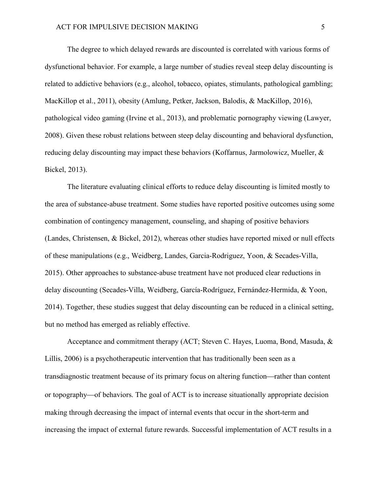The degree to which delayed rewards are discounted is correlated with various forms of dysfunctional behavior. For example, a large number of studies reveal steep delay discounting is related to addictive behaviors (e.g., alcohol, tobacco, opiates, stimulants, pathological gambling; MacKillop et al., 2011), obesity (Amlung, Petker, Jackson, Balodis, & MacKillop, 2016), pathological video gaming (Irvine et al., 2013), and problematic pornography viewing (Lawyer, 2008). Given these robust relations between steep delay discounting and behavioral dysfunction, reducing delay discounting may impact these behaviors (Koffarnus, Jarmolowicz, Mueller, & Bickel, 2013).

The literature evaluating clinical efforts to reduce delay discounting is limited mostly to the area of substance-abuse treatment. Some studies have reported positive outcomes using some combination of contingency management, counseling, and shaping of positive behaviors (Landes, Christensen, & Bickel, 2012), whereas other studies have reported mixed or null effects of these manipulations (e.g., Weidberg, Landes, Garcia-Rodriguez, Yoon, & Secades-Villa, 2015). Other approaches to substance-abuse treatment have not produced clear reductions in delay discounting (Secades-Villa, Weidberg, García-Rodríguez, Fernández-Hermida, & Yoon, 2014). Together, these studies suggest that delay discounting can be reduced in a clinical setting, but no method has emerged as reliably effective.

Acceptance and commitment therapy (ACT; Steven C. Hayes, Luoma, Bond, Masuda, & Lillis, 2006) is a psychotherapeutic intervention that has traditionally been seen as a transdiagnostic treatment because of its primary focus on altering function—rather than content or topography—of behaviors. The goal of ACT is to increase situationally appropriate decision making through decreasing the impact of internal events that occur in the short-term and increasing the impact of external future rewards. Successful implementation of ACT results in a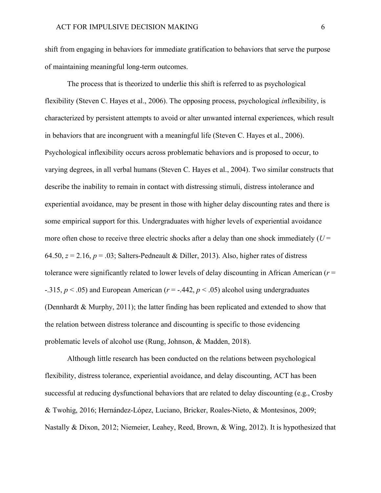shift from engaging in behaviors for immediate gratification to behaviors that serve the purpose of maintaining meaningful long-term outcomes.

The process that is theorized to underlie this shift is referred to as psychological flexibility (Steven C. Hayes et al., 2006). The opposing process, psychological *in*flexibility, is characterized by persistent attempts to avoid or alter unwanted internal experiences, which result in behaviors that are incongruent with a meaningful life (Steven C. Hayes et al., 2006). Psychological inflexibility occurs across problematic behaviors and is proposed to occur, to varying degrees, in all verbal humans (Steven C. Hayes et al., 2004). Two similar constructs that describe the inability to remain in contact with distressing stimuli, distress intolerance and experiential avoidance, may be present in those with higher delay discounting rates and there is some empirical support for this. Undergraduates with higher levels of experiential avoidance more often chose to receive three electric shocks after a delay than one shock immediately  $(U =$ 64.50,  $z = 2.16$ ,  $p = .03$ ; Salters-Pedneault & Diller, 2013). Also, higher rates of distress tolerance were significantly related to lower levels of delay discounting in African American (*r* = -.315, *p* < .05) and European American (*r* = -.442, *p* < .05) alcohol using undergraduates (Dennhardt & Murphy, 2011); the latter finding has been replicated and extended to show that the relation between distress tolerance and discounting is specific to those evidencing problematic levels of alcohol use (Rung, Johnson, & Madden, 2018).

Although little research has been conducted on the relations between psychological flexibility, distress tolerance, experiential avoidance, and delay discounting, ACT has been successful at reducing dysfunctional behaviors that are related to delay discounting (e.g., Crosby & Twohig, 2016; Hernández-López, Luciano, Bricker, Roales-Nieto, & Montesinos, 2009; Nastally & Dixon, 2012; Niemeier, Leahey, Reed, Brown, & Wing, 2012). It is hypothesized that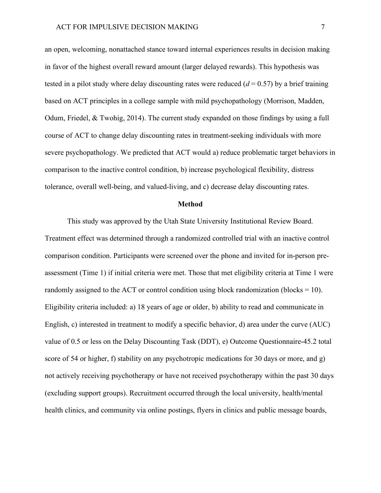an open, welcoming, nonattached stance toward internal experiences results in decision making in favor of the highest overall reward amount (larger delayed rewards). This hypothesis was tested in a pilot study where delay discounting rates were reduced  $(d = 0.57)$  by a brief training based on ACT principles in a college sample with mild psychopathology (Morrison, Madden, Odum, Friedel, & Twohig, 2014). The current study expanded on those findings by using a full course of ACT to change delay discounting rates in treatment-seeking individuals with more severe psychopathology. We predicted that ACT would a) reduce problematic target behaviors in comparison to the inactive control condition, b) increase psychological flexibility, distress tolerance, overall well-being, and valued-living, and c) decrease delay discounting rates.

#### **Method**

This study was approved by the Utah State University Institutional Review Board. Treatment effect was determined through a randomized controlled trial with an inactive control comparison condition. Participants were screened over the phone and invited for in-person preassessment (Time 1) if initial criteria were met. Those that met eligibility criteria at Time 1 were randomly assigned to the ACT or control condition using block randomization (blocks  $= 10$ ). Eligibility criteria included: a) 18 years of age or older, b) ability to read and communicate in English, c) interested in treatment to modify a specific behavior, d) area under the curve (AUC) value of 0.5 or less on the Delay Discounting Task (DDT), e) Outcome Questionnaire-45.2 total score of 54 or higher, f) stability on any psychotropic medications for 30 days or more, and g) not actively receiving psychotherapy or have not received psychotherapy within the past 30 days (excluding support groups). Recruitment occurred through the local university, health/mental health clinics, and community via online postings, flyers in clinics and public message boards,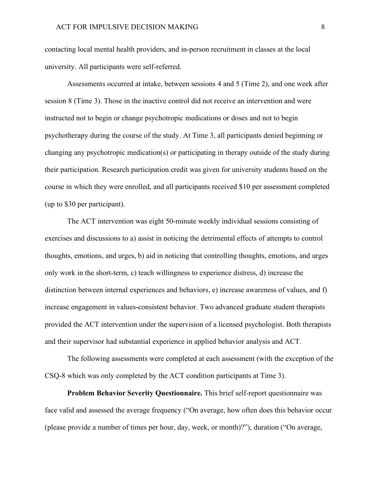contacting local mental health providers, and in-person recruitment in classes at the local university. All participants were self-referred.

Assessments occurred at intake, between sessions 4 and 5 (Time 2), and one week after session 8 (Time 3). Those in the inactive control did not receive an intervention and were instructed not to begin or change psychotropic medications or doses and not to begin psychotherapy during the course of the study. At Time 3, all participants denied beginning or changing any psychotropic medication(s) or participating in therapy outside of the study during their participation. Research participation credit was given for university students based on the course in which they were enrolled, and all participants received \$10 per assessment completed (up to \$30 per participant).

The ACT intervention was eight 50-minute weekly individual sessions consisting of exercises and discussions to a) assist in noticing the detrimental effects of attempts to control thoughts, emotions, and urges, b) aid in noticing that controlling thoughts, emotions, and urges only work in the short-term, c) teach willingness to experience distress, d) increase the distinction between internal experiences and behaviors, e) increase awareness of values, and f) increase engagement in values-consistent behavior. Two advanced graduate student therapists provided the ACT intervention under the supervision of a licensed psychologist. Both therapists and their supervisor had substantial experience in applied behavior analysis and ACT.

The following assessments were completed at each assessment (with the exception of the CSQ-8 which was only completed by the ACT condition participants at Time 3).

**Problem Behavior Severity Questionnaire.** This brief self-report questionnaire was face valid and assessed the average frequency ("On average, how often does this behavior occur (please provide a number of times per hour, day, week, or month)?"), duration ("On average,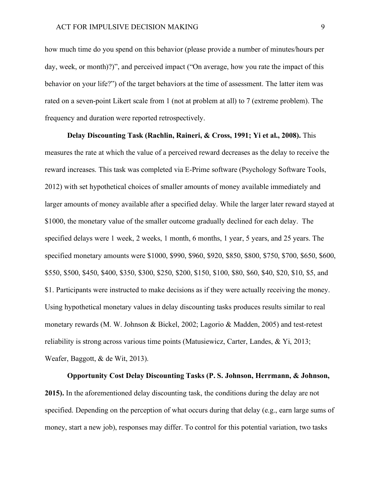how much time do you spend on this behavior (please provide a number of minutes/hours per day, week, or month)?)", and perceived impact ("On average, how you rate the impact of this behavior on your life?") of the target behaviors at the time of assessment. The latter item was rated on a seven-point Likert scale from 1 (not at problem at all) to 7 (extreme problem). The frequency and duration were reported retrospectively.

**Delay Discounting Task (Rachlin, Raineri, & Cross, 1991; Yi et al., 2008).** This measures the rate at which the value of a perceived reward decreases as the delay to receive the reward increases. This task was completed via E-Prime software (Psychology Software Tools, 2012) with set hypothetical choices of smaller amounts of money available immediately and larger amounts of money available after a specified delay. While the larger later reward stayed at \$1000, the monetary value of the smaller outcome gradually declined for each delay. The specified delays were 1 week, 2 weeks, 1 month, 6 months, 1 year, 5 years, and 25 years. The specified monetary amounts were \$1000, \$990, \$960, \$920, \$850, \$800, \$750, \$700, \$650, \$600, \$550, \$500, \$450, \$400, \$350, \$300, \$250, \$200, \$150, \$100, \$80, \$60, \$40, \$20, \$10, \$5, and \$1. Participants were instructed to make decisions as if they were actually receiving the money. Using hypothetical monetary values in delay discounting tasks produces results similar to real monetary rewards (M. W. Johnson & Bickel, 2002; Lagorio & Madden, 2005) and test-retest reliability is strong across various time points (Matusiewicz, Carter, Landes, & Yi, 2013; Weafer, Baggott, & de Wit, 2013).

**Opportunity Cost Delay Discounting Tasks (P. S. Johnson, Herrmann, & Johnson, 2015).** In the aforementioned delay discounting task, the conditions during the delay are not specified. Depending on the perception of what occurs during that delay (e.g., earn large sums of money, start a new job), responses may differ. To control for this potential variation, two tasks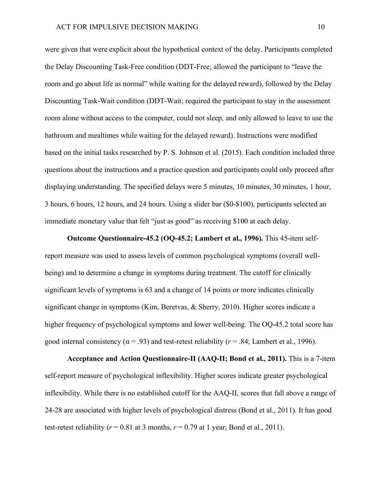were given that were explicit about the hypothetical context of the delay. Participants completed the Delay Discounting Task-Free condition (DDT-Free; allowed the participant to "leave the room and go about life as normal" while waiting for the delayed reward), followed by the Delay Discounting Task-Wait condition (DDT-Wait; required the participant to stay in the assessment room alone without access to the computer, could not sleep, and only allowed to leave to use the bathroom and mealtimes while waiting for the delayed reward). Instructions were modified based on the initial tasks researched by P. S. Johnson et al. (2015). Each condition included three questions about the instructions and a practice question and participants could only proceed after displaying understanding. The specified delays were 5 minutes, 10 minutes, 30 minutes, 1 hour, 3 hours, 6 hours, 12 hours, and 24 hours. Using a slider bar (\$0-\$100), participants selected an immediate monetary value that felt "just as good" as receiving \$100 at each delay.

**Outcome Questionnaire-45.2 (OQ-45.2; Lambert et al., 1996).** This 45-item selfreport measure was used to assess levels of common psychological symptoms (overall wellbeing) and to determine a change in symptoms during treatment. The cutoff for clinically significant levels of symptoms is 63 and a change of 14 points or more indicates clinically significant change in symptoms (Kim, Beretvas, & Sherry, 2010). Higher scores indicate a higher frequency of psychological symptoms and lower well-being. The OQ-45.2 total score has good internal consistency ( $\alpha$  = .93) and test-retest reliability ( $r$  = .84; Lambert et al., 1996).

**Acceptance and Action Questionnaire-II (AAQ-II; Bond et al., 2011).** This is a 7-item self-report measure of psychological inflexibility. Higher scores indicate greater psychological inflexibility. While there is no established cutoff for the AAQ-II, scores that fall above a range of 24-28 are associated with higher levels of psychological distress (Bond et al., 2011). It has good test-retest reliability ( $r = 0.81$  at 3 months,  $r = 0.79$  at 1 year; Bond et al., 2011).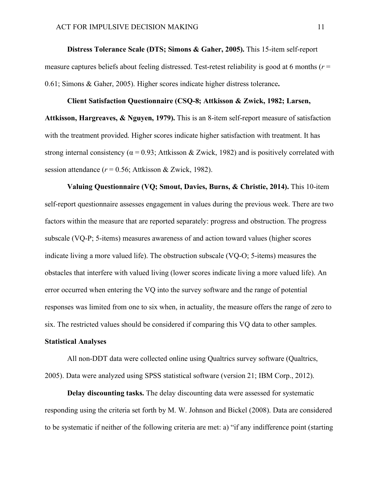## **Distress Tolerance Scale (DTS; Simons & Gaher, 2005).** This 15-item self-report measure captures beliefs about feeling distressed. Test-retest reliability is good at 6 months (*r* = 0.61; Simons & Gaher, 2005). Higher scores indicate higher distress tolerance**.**

## **Client Satisfaction Questionnaire (CSQ-8; Attkisson & Zwick, 1982; Larsen, Attkisson, Hargreaves, & Nguyen, 1979).** This is an 8-item self-report measure of satisfaction with the treatment provided. Higher scores indicate higher satisfaction with treatment. It has strong internal consistency ( $\alpha$  = 0.93; Attkisson & Zwick, 1982) and is positively correlated with session attendance (*r* = 0.56; Attkisson & Zwick, 1982).

**Valuing Questionnaire (VQ; Smout, Davies, Burns, & Christie, 2014).** This 10-item self-report questionnaire assesses engagement in values during the previous week. There are two factors within the measure that are reported separately: progress and obstruction. The progress subscale (VQ-P; 5-items) measures awareness of and action toward values (higher scores indicate living a more valued life). The obstruction subscale (VQ-O; 5-items) measures the obstacles that interfere with valued living (lower scores indicate living a more valued life). An error occurred when entering the VQ into the survey software and the range of potential responses was limited from one to six when, in actuality, the measure offers the range of zero to six. The restricted values should be considered if comparing this VQ data to other samples.

## **Statistical Analyses**

All non-DDT data were collected online using Qualtrics survey software (Qualtrics, 2005). Data were analyzed using SPSS statistical software (version 21; IBM Corp., 2012).

**Delay discounting tasks.** The delay discounting data were assessed for systematic responding using the criteria set forth by M. W. Johnson and Bickel (2008). Data are considered to be systematic if neither of the following criteria are met: a) "if any indifference point (starting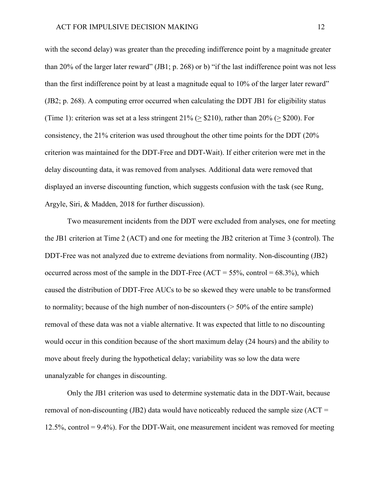with the second delay) was greater than the preceding indifference point by a magnitude greater than 20% of the larger later reward" (JB1; p. 268) or b) "if the last indifference point was not less than the first indifference point by at least a magnitude equal to 10% of the larger later reward" (JB2; p. 268). A computing error occurred when calculating the DDT JB1 for eligibility status (Time 1): criterion was set at a less stringent  $21\%$  ( $\geq$  \$210), rather than 20% ( $\geq$  \$200). For consistency, the 21% criterion was used throughout the other time points for the DDT (20% criterion was maintained for the DDT-Free and DDT-Wait). If either criterion were met in the delay discounting data, it was removed from analyses. Additional data were removed that displayed an inverse discounting function, which suggests confusion with the task (see Rung, Argyle, Siri, & Madden, 2018 for further discussion).

Two measurement incidents from the DDT were excluded from analyses, one for meeting the JB1 criterion at Time 2 (ACT) and one for meeting the JB2 criterion at Time 3 (control). The DDT-Free was not analyzed due to extreme deviations from normality. Non-discounting (JB2) occurred across most of the sample in the DDT-Free  $(ACT = 55\%$ , control = 68.3%), which caused the distribution of DDT-Free AUCs to be so skewed they were unable to be transformed to normality; because of the high number of non-discounters  $($  > 50% of the entire sample) removal of these data was not a viable alternative. It was expected that little to no discounting would occur in this condition because of the short maximum delay (24 hours) and the ability to move about freely during the hypothetical delay; variability was so low the data were unanalyzable for changes in discounting.

Only the JB1 criterion was used to determine systematic data in the DDT-Wait, because removal of non-discounting (JB2) data would have noticeably reduced the sample size  $(ACT =$ 12.5%, control = 9.4%). For the DDT-Wait, one measurement incident was removed for meeting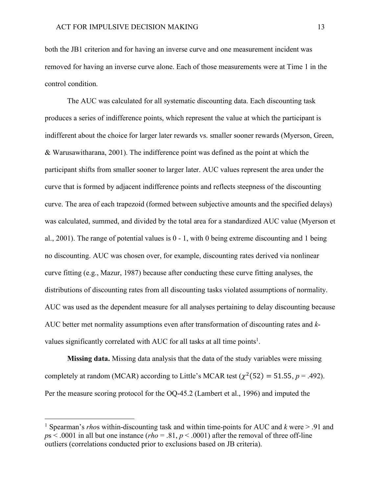both the JB1 criterion and for having an inverse curve and one measurement incident was removed for having an inverse curve alone. Each of those measurements were at Time 1 in the control condition.

The AUC was calculated for all systematic discounting data. Each discounting task produces a series of indifference points, which represent the value at which the participant is indifferent about the choice for larger later rewards vs. smaller sooner rewards (Myerson, Green, & Warusawitharana, 2001). The indifference point was defined as the point at which the participant shifts from smaller sooner to larger later. AUC values represent the area under the curve that is formed by adjacent indifference points and reflects steepness of the discounting curve. The area of each trapezoid (formed between subjective amounts and the specified delays) was calculated, summed, and divided by the total area for a standardized AUC value (Myerson et al., 2001). The range of potential values is  $0 - 1$ , with 0 being extreme discounting and 1 being no discounting. AUC was chosen over, for example, discounting rates derived via nonlinear curve fitting (e.g., Mazur, 1987) because after conducting these curve fitting analyses, the distributions of discounting rates from all discounting tasks violated assumptions of normality. AUC was used as the dependent measure for all analyses pertaining to delay discounting because AUC better met normality assumptions even after transformation of discounting rates and *k*values significantly correlated with AUC for all tasks at all time points<sup>1</sup>.

**Missing data.** Missing data analysis that the data of the study variables were missing completely at random (MCAR) according to Little's MCAR test  $(\chi^2(52) = 51.55, p = .492)$ . Per the measure scoring protocol for the OQ-45.2 (Lambert et al., 1996) and imputed the

 <sup>1</sup> Spearman's *rho*s within-discounting task and within time-points for AUC and *<sup>k</sup>* were > .91 and  $p_s$  < .0001 in all but one instance (*rho* = .81,  $p$  < .0001) after the removal of three off-line outliers (correlations conducted prior to exclusions based on JB criteria).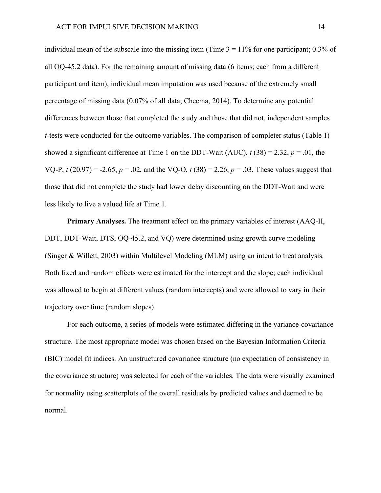individual mean of the subscale into the missing item (Time  $3 = 11\%$  for one participant; 0.3% of all OQ-45.2 data). For the remaining amount of missing data (6 items; each from a different participant and item), individual mean imputation was used because of the extremely small percentage of missing data (0.07% of all data; Cheema, 2014). To determine any potential differences between those that completed the study and those that did not, independent samples *t*-tests were conducted for the outcome variables. The comparison of completer status (Table 1) showed a significant difference at Time 1 on the DDT-Wait (AUC),  $t(38) = 2.32$ ,  $p = .01$ , the VQ-P,  $t(20.97) = -2.65$ ,  $p = .02$ , and the VQ-O,  $t(38) = 2.26$ ,  $p = .03$ . These values suggest that those that did not complete the study had lower delay discounting on the DDT-Wait and were less likely to live a valued life at Time 1.

**Primary Analyses.** The treatment effect on the primary variables of interest (AAQ-II, DDT, DDT-Wait, DTS, OQ-45.2, and VQ) were determined using growth curve modeling (Singer & Willett, 2003) within Multilevel Modeling (MLM) using an intent to treat analysis. Both fixed and random effects were estimated for the intercept and the slope; each individual was allowed to begin at different values (random intercepts) and were allowed to vary in their trajectory over time (random slopes).

For each outcome, a series of models were estimated differing in the variance-covariance structure. The most appropriate model was chosen based on the Bayesian Information Criteria (BIC) model fit indices. An unstructured covariance structure (no expectation of consistency in the covariance structure) was selected for each of the variables. The data were visually examined for normality using scatterplots of the overall residuals by predicted values and deemed to be normal.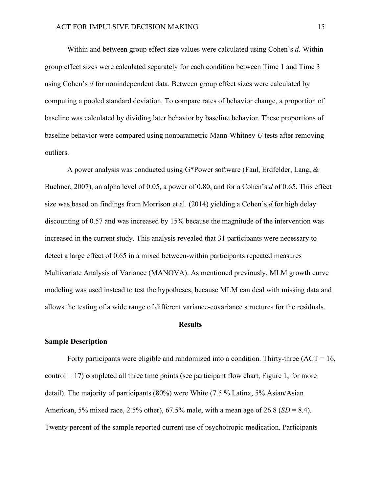Within and between group effect size values were calculated using Cohen's *d*. Within group effect sizes were calculated separately for each condition between Time 1 and Time 3 using Cohen's *d* for nonindependent data. Between group effect sizes were calculated by computing a pooled standard deviation. To compare rates of behavior change, a proportion of baseline was calculated by dividing later behavior by baseline behavior. These proportions of baseline behavior were compared using nonparametric Mann-Whitney *U* tests after removing outliers.

A power analysis was conducted using G\*Power software (Faul, Erdfelder, Lang, & Buchner, 2007), an alpha level of 0.05, a power of 0.80, and for a Cohen's *d* of 0.65. This effect size was based on findings from Morrison et al. (2014) yielding a Cohen's *d* for high delay discounting of 0.57 and was increased by 15% because the magnitude of the intervention was increased in the current study. This analysis revealed that 31 participants were necessary to detect a large effect of 0.65 in a mixed between-within participants repeated measures Multivariate Analysis of Variance (MANOVA). As mentioned previously, MLM growth curve modeling was used instead to test the hypotheses, because MLM can deal with missing data and allows the testing of a wide range of different variance-covariance structures for the residuals.

#### **Results**

## **Sample Description**

Forty participants were eligible and randomized into a condition. Thirty-three  $(ACT = 16,$  $control = 17$ ) completed all three time points (see participant flow chart, Figure 1, for more detail). The majority of participants (80%) were White (7.5 % Latinx, 5% Asian/Asian American, 5% mixed race, 2.5% other), 67.5% male, with a mean age of 26.8 (*SD* = 8.4). Twenty percent of the sample reported current use of psychotropic medication. Participants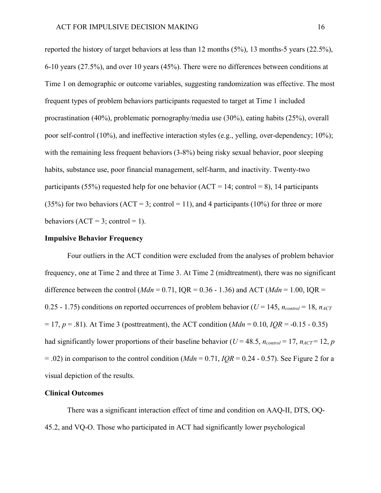reported the history of target behaviors at less than 12 months (5%), 13 months-5 years (22.5%), 6-10 years (27.5%), and over 10 years (45%). There were no differences between conditions at Time 1 on demographic or outcome variables, suggesting randomization was effective. The most frequent types of problem behaviors participants requested to target at Time 1 included procrastination (40%), problematic pornography/media use (30%), eating habits (25%), overall poor self-control (10%), and ineffective interaction styles (e.g., yelling, over-dependency; 10%); with the remaining less frequent behaviors (3-8%) being risky sexual behavior, poor sleeping habits, substance use, poor financial management, self-harm, and inactivity. Twenty-two participants (55%) requested help for one behavior (ACT = 14; control = 8), 14 participants (35%) for two behaviors (ACT = 3; control = 11), and 4 participants (10%) for three or more behaviors  $(ACT = 3$ ; control = 1).

## **Impulsive Behavior Frequency**

Four outliers in the ACT condition were excluded from the analyses of problem behavior frequency, one at Time 2 and three at Time 3. At Time 2 (midtreatment), there was no significant difference between the control ( $Mdn = 0.71$ , IQR =  $0.36 - 1.36$ ) and ACT ( $Mdn = 1.00$ , IQR = 0.25 - 1.75) conditions on reported occurrences of problem behavior ( $U = 145$ ,  $n_{control} = 18$ ,  $n_{ACT}$ = 17, *p* = .81). At Time 3 (posttreatment), the ACT condition (*Mdn* = 0.10, *IQR* = -0.15 - 0.35) had significantly lower proportions of their baseline behavior ( $U = 48.5$ ,  $n_{control} = 17$ ,  $n_{ACT} = 12$ , *p*  $= .02$ ) in comparison to the control condition (*Mdn* = 0.71, *IQR* = 0.24 - 0.57). See Figure 2 for a visual depiction of the results.

## **Clinical Outcomes**

There was a significant interaction effect of time and condition on AAQ-II, DTS, OQ-45.2, and VQ-O. Those who participated in ACT had significantly lower psychological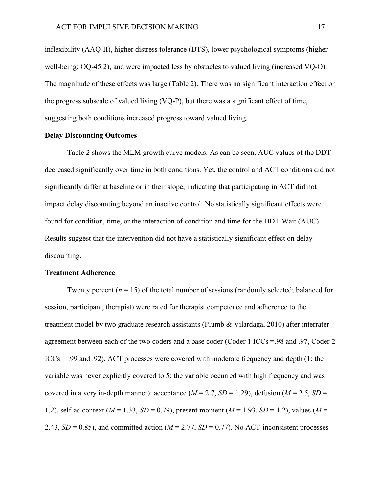inflexibility (AAQ-II), higher distress tolerance (DTS), lower psychological symptoms (higher well-being; OQ-45.2), and were impacted less by obstacles to valued living (increased VQ-O). The magnitude of these effects was large (Table 2). There was no significant interaction effect on the progress subscale of valued living (VQ-P), but there was a significant effect of time, suggesting both conditions increased progress toward valued living.

## **Delay Discounting Outcomes**

Table 2 shows the MLM growth curve models. As can be seen, AUC values of the DDT decreased significantly over time in both conditions. Yet, the control and ACT conditions did not significantly differ at baseline or in their slope, indicating that participating in ACT did not impact delay discounting beyond an inactive control. No statistically significant effects were found for condition, time, or the interaction of condition and time for the DDT-Wait (AUC). Results suggest that the intervention did not have a statistically significant effect on delay discounting.

## **Treatment Adherence**

Twenty percent  $(n = 15)$  of the total number of sessions (randomly selected; balanced for session, participant, therapist) were rated for therapist competence and adherence to the treatment model by two graduate research assistants (Plumb & Vilardaga, 2010) after interrater agreement between each of the two coders and a base coder (Coder 1 ICCs =.98 and .97, Coder 2  $ICC<sub>S</sub> = .99$  and .92). ACT processes were covered with moderate frequency and depth (1: the variable was never explicitly covered to 5: the variable occurred with high frequency and was covered in a very in-depth manner): acceptance  $(M = 2.7, SD = 1.29)$ , defusion  $(M = 2.5, SD = 1.29)$ 1.2), self-as-context ( $M = 1.33$ ,  $SD = 0.79$ ), present moment ( $M = 1.93$ ,  $SD = 1.2$ ), values ( $M =$ 2.43,  $SD = 0.85$ ), and committed action ( $M = 2.77$ ,  $SD = 0.77$ ). No ACT-inconsistent processes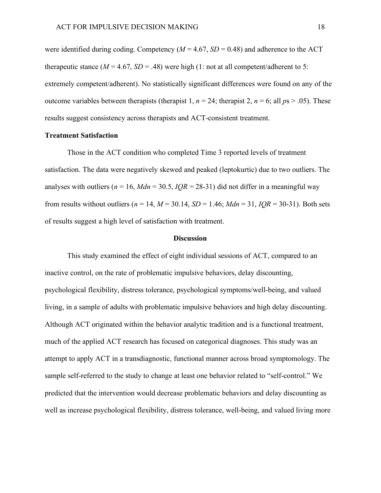were identified during coding. Competency  $(M = 4.67, SD = 0.48)$  and adherence to the ACT therapeutic stance  $(M = 4.67, SD = .48)$  were high (1: not at all competent/adherent to 5: extremely competent/adherent). No statistically significant differences were found on any of the outcome variables between therapists (therapist 1,  $n = 24$ ; therapist 2,  $n = 6$ ; all  $ps > .05$ ). These results suggest consistency across therapists and ACT-consistent treatment.

## **Treatment Satisfaction**

Those in the ACT condition who completed Time 3 reported levels of treatment satisfaction. The data were negatively skewed and peaked (leptokurtic) due to two outliers. The analyses with outliers ( $n = 16$ ,  $Mdn = 30.5$ ,  $IQR = 28-31$ ) did not differ in a meaningful way from results without outliers ( $n = 14$ ,  $M = 30.14$ ,  $SD = 1.46$ ;  $Mdn = 31$ ,  $IQR = 30-31$ ). Both sets of results suggest a high level of satisfaction with treatment.

### **Discussion**

This study examined the effect of eight individual sessions of ACT, compared to an inactive control, on the rate of problematic impulsive behaviors, delay discounting, psychological flexibility, distress tolerance, psychological symptoms/well-being, and valued living, in a sample of adults with problematic impulsive behaviors and high delay discounting. Although ACT originated within the behavior analytic tradition and is a functional treatment, much of the applied ACT research has focused on categorical diagnoses. This study was an attempt to apply ACT in a transdiagnostic, functional manner across broad symptomology. The sample self-referred to the study to change at least one behavior related to "self-control." We predicted that the intervention would decrease problematic behaviors and delay discounting as well as increase psychological flexibility, distress tolerance, well-being, and valued living more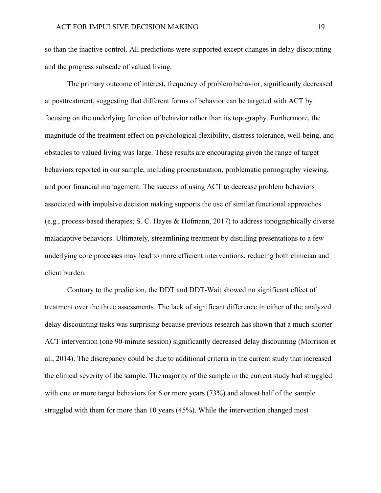so than the inactive control. All predictions were supported except changes in delay discounting and the progress subscale of valued living.

The primary outcome of interest, frequency of problem behavior, significantly decreased at posttreatment, suggesting that different forms of behavior can be targeted with ACT by focusing on the underlying function of behavior rather than its topography. Furthermore, the magnitude of the treatment effect on psychological flexibility, distress tolerance, well-being, and obstacles to valued living was large. These results are encouraging given the range of target behaviors reported in our sample, including procrastination, problematic pornography viewing, and poor financial management. The success of using ACT to decrease problem behaviors associated with impulsive decision making supports the use of similar functional approaches (e.g., process-based therapies; S. C. Hayes & Hofmann, 2017) to address topographically diverse maladaptive behaviors. Ultimately, streamlining treatment by distilling presentations to a few underlying core processes may lead to more efficient interventions, reducing both clinician and client burden.

Contrary to the prediction, the DDT and DDT-Wait showed no significant effect of treatment over the three assessments. The lack of significant difference in either of the analyzed delay discounting tasks was surprising because previous research has shown that a much shorter ACT intervention (one 90-minute session) significantly decreased delay discounting (Morrison et al., 2014). The discrepancy could be due to additional criteria in the current study that increased the clinical severity of the sample. The majority of the sample in the current study had struggled with one or more target behaviors for 6 or more years (73%) and almost half of the sample struggled with them for more than 10 years (45%). While the intervention changed most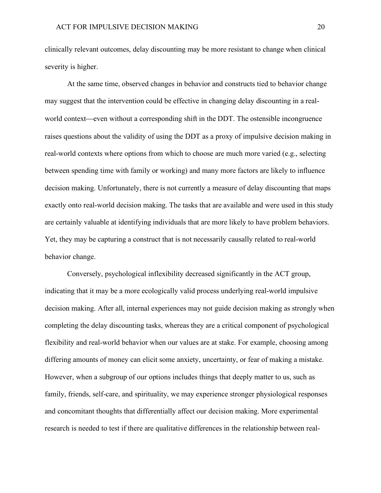clinically relevant outcomes, delay discounting may be more resistant to change when clinical severity is higher.

At the same time, observed changes in behavior and constructs tied to behavior change may suggest that the intervention could be effective in changing delay discounting in a realworld context—even without a corresponding shift in the DDT. The ostensible incongruence raises questions about the validity of using the DDT as a proxy of impulsive decision making in real-world contexts where options from which to choose are much more varied (e.g., selecting between spending time with family or working) and many more factors are likely to influence decision making. Unfortunately, there is not currently a measure of delay discounting that maps exactly onto real-world decision making. The tasks that are available and were used in this study are certainly valuable at identifying individuals that are more likely to have problem behaviors. Yet, they may be capturing a construct that is not necessarily causally related to real-world behavior change.

Conversely, psychological inflexibility decreased significantly in the ACT group, indicating that it may be a more ecologically valid process underlying real-world impulsive decision making. After all, internal experiences may not guide decision making as strongly when completing the delay discounting tasks, whereas they are a critical component of psychological flexibility and real-world behavior when our values are at stake. For example, choosing among differing amounts of money can elicit some anxiety, uncertainty, or fear of making a mistake. However, when a subgroup of our options includes things that deeply matter to us, such as family, friends, self-care, and spirituality, we may experience stronger physiological responses and concomitant thoughts that differentially affect our decision making. More experimental research is needed to test if there are qualitative differences in the relationship between real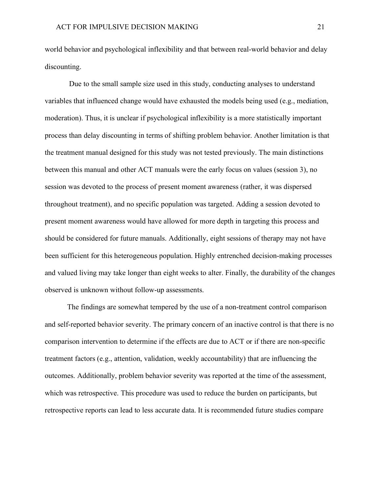world behavior and psychological inflexibility and that between real-world behavior and delay discounting.

Due to the small sample size used in this study, conducting analyses to understand variables that influenced change would have exhausted the models being used (e.g., mediation, moderation). Thus, it is unclear if psychological inflexibility is a more statistically important process than delay discounting in terms of shifting problem behavior. Another limitation is that the treatment manual designed for this study was not tested previously. The main distinctions between this manual and other ACT manuals were the early focus on values (session 3), no session was devoted to the process of present moment awareness (rather, it was dispersed throughout treatment), and no specific population was targeted. Adding a session devoted to present moment awareness would have allowed for more depth in targeting this process and should be considered for future manuals. Additionally, eight sessions of therapy may not have been sufficient for this heterogeneous population. Highly entrenched decision-making processes and valued living may take longer than eight weeks to alter. Finally, the durability of the changes observed is unknown without follow-up assessments.

The findings are somewhat tempered by the use of a non-treatment control comparison and self-reported behavior severity. The primary concern of an inactive control is that there is no comparison intervention to determine if the effects are due to ACT or if there are non-specific treatment factors (e.g., attention, validation, weekly accountability) that are influencing the outcomes. Additionally, problem behavior severity was reported at the time of the assessment, which was retrospective. This procedure was used to reduce the burden on participants, but retrospective reports can lead to less accurate data. It is recommended future studies compare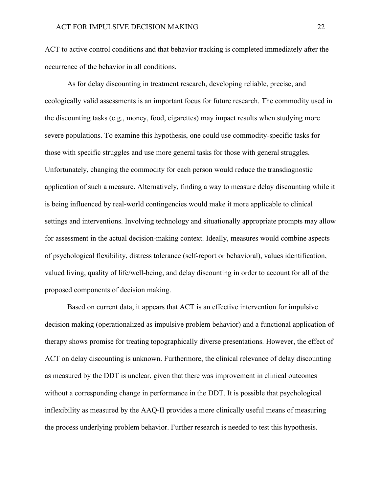ACT to active control conditions and that behavior tracking is completed immediately after the occurrence of the behavior in all conditions.

As for delay discounting in treatment research, developing reliable, precise, and ecologically valid assessments is an important focus for future research. The commodity used in the discounting tasks (e.g., money, food, cigarettes) may impact results when studying more severe populations. To examine this hypothesis, one could use commodity-specific tasks for those with specific struggles and use more general tasks for those with general struggles. Unfortunately, changing the commodity for each person would reduce the transdiagnostic application of such a measure. Alternatively, finding a way to measure delay discounting while it is being influenced by real-world contingencies would make it more applicable to clinical settings and interventions. Involving technology and situationally appropriate prompts may allow for assessment in the actual decision-making context. Ideally, measures would combine aspects of psychological flexibility, distress tolerance (self-report or behavioral), values identification, valued living, quality of life/well-being, and delay discounting in order to account for all of the proposed components of decision making.

Based on current data, it appears that ACT is an effective intervention for impulsive decision making (operationalized as impulsive problem behavior) and a functional application of therapy shows promise for treating topographically diverse presentations. However, the effect of ACT on delay discounting is unknown. Furthermore, the clinical relevance of delay discounting as measured by the DDT is unclear, given that there was improvement in clinical outcomes without a corresponding change in performance in the DDT. It is possible that psychological inflexibility as measured by the AAQ-II provides a more clinically useful means of measuring the process underlying problem behavior. Further research is needed to test this hypothesis.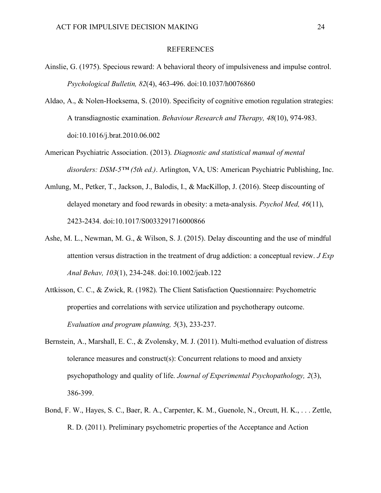#### REFERENCES

- Ainslie, G. (1975). Specious reward: A behavioral theory of impulsiveness and impulse control. *Psychological Bulletin, 82*(4), 463-496. doi:10.1037/h0076860
- Aldao, A., & Nolen-Hoeksema, S. (2010). Specificity of cognitive emotion regulation strategies: A transdiagnostic examination. *Behaviour Research and Therapy, 48*(10), 974-983. doi:10.1016/j.brat.2010.06.002
- American Psychiatric Association. (2013). *Diagnostic and statistical manual of mental disorders: DSM-5™ (5th ed.)*. Arlington, VA, US: American Psychiatric Publishing, Inc.
- Amlung, M., Petker, T., Jackson, J., Balodis, I., & MacKillop, J. (2016). Steep discounting of delayed monetary and food rewards in obesity: a meta-analysis. *Psychol Med, 46*(11), 2423-2434. doi:10.1017/S0033291716000866
- Ashe, M. L., Newman, M. G., & Wilson, S. J. (2015). Delay discounting and the use of mindful attention versus distraction in the treatment of drug addiction: a conceptual review. *J Exp Anal Behav, 103*(1), 234-248. doi:10.1002/jeab.122
- Attkisson, C. C., & Zwick, R. (1982). The Client Satisfaction Questionnaire: Psychometric properties and correlations with service utilization and psychotherapy outcome. *Evaluation and program planning, 5*(3), 233-237.
- Bernstein, A., Marshall, E. C., & Zvolensky, M. J. (2011). Multi-method evaluation of distress tolerance measures and construct(s): Concurrent relations to mood and anxiety psychopathology and quality of life. *Journal of Experimental Psychopathology, 2*(3), 386-399.
- Bond, F. W., Hayes, S. C., Baer, R. A., Carpenter, K. M., Guenole, N., Orcutt, H. K., . . . Zettle, R. D. (2011). Preliminary psychometric properties of the Acceptance and Action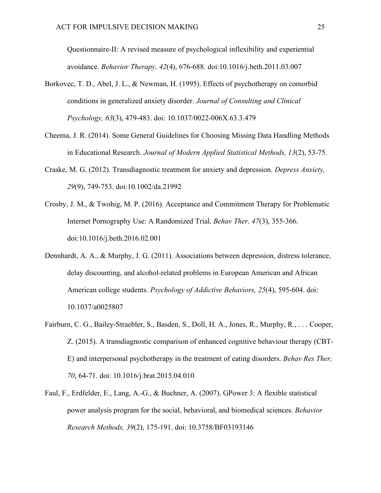Questionnaire-II: A revised measure of psychological inflexibility and experiential avoidance. *Behavior Therapy, 42*(4), 676-688. doi:10.1016/j.beth.2011.03.007

- Borkovec, T. D., Abel, J. L., & Newman, H. (1995). Effects of psychotherapy on comorbid conditions in generalized anxiety disorder. *Journal of Consulting and Clinical Psychology, 63*(3), 479-483. doi: 10.1037/0022-006X.63.3.479
- Cheema, J. R. (2014). Some General Guidelines for Choosing Missing Data Handling Methods in Educational Research. *Journal of Modern Applied Statistical Methods, 13*(2), 53-75.
- Craske, M. G. (2012). Transdiagnostic treatment for anxiety and depression. *Depress Anxiety, 29*(9), 749-753. doi:10.1002/da.21992
- Crosby, J. M., & Twohig, M. P. (2016). Acceptance and Commitment Therapy for Problematic Internet Pornography Use: A Randomized Trial. *Behav Ther, 47*(3), 355-366. doi:10.1016/j.beth.2016.02.001
- Dennhardt, A. A., & Murphy, J. G. (2011). Associations between depression, distress tolerance, delay discounting, and alcohol-related problems in European American and African American college students. *Psychology of Addictive Behaviors, 25*(4), 595-604. doi: 10.1037/a0025807
- Fairburn, C. G., Bailey-Straebler, S., Basden, S., Doll, H. A., Jones, R., Murphy, R., . . . Cooper, Z. (2015). A transdiagnostic comparison of enhanced cognitive behaviour therapy (CBT-E) and interpersonal psychotherapy in the treatment of eating disorders. *Behav Res Ther, 70*, 64-71. doi: 10.1016/j.brat.2015.04.010
- Faul, F., Erdfelder, E., Lang, A.-G., & Buchner, A. (2007). GPower 3: A flexible statistical power analysis program for the social, behavioral, and biomedical sciences. *Behavior Research Methods, 39*(2), 175-191. doi: 10.3758/BF03193146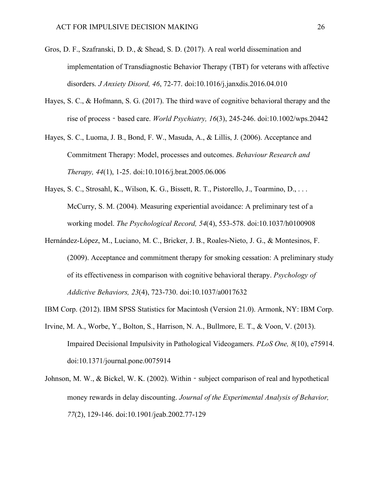- Gros, D. F., Szafranski, D. D., & Shead, S. D. (2017). A real world dissemination and implementation of Transdiagnostic Behavior Therapy (TBT) for veterans with affective disorders. *J Anxiety Disord, 46*, 72-77. doi:10.1016/j.janxdis.2016.04.010
- Hayes, S. C., & Hofmann, S. G. (2017). The third wave of cognitive behavioral therapy and the rise of process‐based care. *World Psychiatry, 16*(3), 245-246. doi:10.1002/wps.20442
- Hayes, S. C., Luoma, J. B., Bond, F. W., Masuda, A., & Lillis, J. (2006). Acceptance and Commitment Therapy: Model, processes and outcomes. *Behaviour Research and Therapy, 44*(1), 1-25. doi:10.1016/j.brat.2005.06.006
- Hayes, S. C., Strosahl, K., Wilson, K. G., Bissett, R. T., Pistorello, J., Toarmino, D., . . . McCurry, S. M. (2004). Measuring experiential avoidance: A preliminary test of a working model. *The Psychological Record, 54*(4), 553-578. doi:10.1037/h0100908
- Hernández-López, M., Luciano, M. C., Bricker, J. B., Roales-Nieto, J. G., & Montesinos, F. (2009). Acceptance and commitment therapy for smoking cessation: A preliminary study of its effectiveness in comparison with cognitive behavioral therapy. *Psychology of Addictive Behaviors, 23*(4), 723-730. doi:10.1037/a0017632
- IBM Corp. (2012). IBM SPSS Statistics for Macintosh (Version 21.0). Armonk, NY: IBM Corp.
- Irvine, M. A., Worbe, Y., Bolton, S., Harrison, N. A., Bullmore, E. T., & Voon, V. (2013). Impaired Decisional Impulsivity in Pathological Videogamers. *PLoS One, 8*(10), e75914. doi:10.1371/journal.pone.0075914
- Johnson, M. W., & Bickel, W. K. (2002). Within subject comparison of real and hypothetical money rewards in delay discounting. *Journal of the Experimental Analysis of Behavior, 77*(2), 129-146. doi:10.1901/jeab.2002.77-129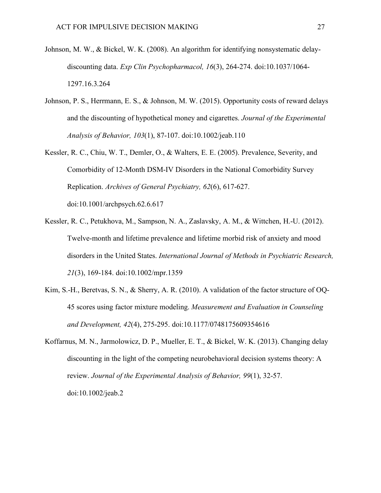- Johnson, M. W., & Bickel, W. K. (2008). An algorithm for identifying nonsystematic delaydiscounting data. *Exp Clin Psychopharmacol, 16*(3), 264-274. doi:10.1037/1064- 1297.16.3.264
- Johnson, P. S., Herrmann, E. S., & Johnson, M. W. (2015). Opportunity costs of reward delays and the discounting of hypothetical money and cigarettes. *Journal of the Experimental Analysis of Behavior, 103*(1), 87-107. doi:10.1002/jeab.110
- Kessler, R. C., Chiu, W. T., Demler, O., & Walters, E. E. (2005). Prevalence, Severity, and Comorbidity of 12-Month DSM-IV Disorders in the National Comorbidity Survey Replication. *Archives of General Psychiatry, 62*(6), 617-627. doi:10.1001/archpsych.62.6.617
- Kessler, R. C., Petukhova, M., Sampson, N. A., Zaslavsky, A. M., & Wittchen, H.-U. (2012). Twelve-month and lifetime prevalence and lifetime morbid risk of anxiety and mood disorders in the United States. *International Journal of Methods in Psychiatric Research, 21*(3), 169-184. doi:10.1002/mpr.1359
- Kim, S.-H., Beretvas, S. N., & Sherry, A. R. (2010). A validation of the factor structure of OQ-45 scores using factor mixture modeling. *Measurement and Evaluation in Counseling and Development, 42*(4), 275-295. doi:10.1177/0748175609354616
- Koffarnus, M. N., Jarmolowicz, D. P., Mueller, E. T., & Bickel, W. K. (2013). Changing delay discounting in the light of the competing neurobehavioral decision systems theory: A review. *Journal of the Experimental Analysis of Behavior, 99*(1), 32-57. doi:10.1002/jeab.2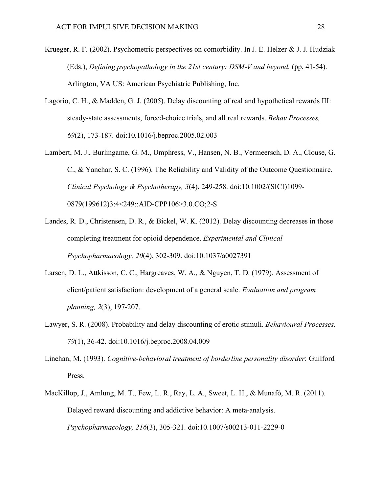- Krueger, R. F. (2002). Psychometric perspectives on comorbidity. In J. E. Helzer & J. J. Hudziak (Eds.), *Defining psychopathology in the 21st century: DSM-V and beyond.* (pp. 41-54). Arlington, VA US: American Psychiatric Publishing, Inc.
- Lagorio, C. H., & Madden, G. J. (2005). Delay discounting of real and hypothetical rewards III: steady-state assessments, forced-choice trials, and all real rewards. *Behav Processes, 69*(2), 173-187. doi:10.1016/j.beproc.2005.02.003
- Lambert, M. J., Burlingame, G. M., Umphress, V., Hansen, N. B., Vermeersch, D. A., Clouse, G. C., & Yanchar, S. C. (1996). The Reliability and Validity of the Outcome Questionnaire. *Clinical Psychology & Psychotherapy, 3*(4), 249-258. doi:10.1002/(SICI)1099- 0879(199612)3:4<249::AID-CPP106>3.0.CO;2-S
- Landes, R. D., Christensen, D. R., & Bickel, W. K. (2012). Delay discounting decreases in those completing treatment for opioid dependence. *Experimental and Clinical Psychopharmacology, 20*(4), 302-309. doi:10.1037/a0027391
- Larsen, D. L., Attkisson, C. C., Hargreaves, W. A., & Nguyen, T. D. (1979). Assessment of client/patient satisfaction: development of a general scale. *Evaluation and program planning, 2*(3), 197-207.
- Lawyer, S. R. (2008). Probability and delay discounting of erotic stimuli. *Behavioural Processes, 79*(1), 36-42. doi:10.1016/j.beproc.2008.04.009
- Linehan, M. (1993). *Cognitive-behavioral treatment of borderline personality disorder*: Guilford Press.
- MacKillop, J., Amlung, M. T., Few, L. R., Ray, L. A., Sweet, L. H., & Munafò, M. R. (2011). Delayed reward discounting and addictive behavior: A meta-analysis. *Psychopharmacology, 216*(3), 305-321. doi:10.1007/s00213-011-2229-0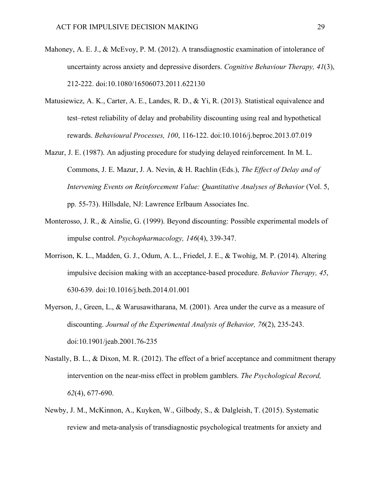- Mahoney, A. E. J., & McEvoy, P. M. (2012). A transdiagnostic examination of intolerance of uncertainty across anxiety and depressive disorders. *Cognitive Behaviour Therapy, 41*(3), 212-222. doi:10.1080/16506073.2011.622130
- Matusiewicz, A. K., Carter, A. E., Landes, R. D., & Yi, R. (2013). Statistical equivalence and test–retest reliability of delay and probability discounting using real and hypothetical rewards. *Behavioural Processes, 100*, 116-122. doi:10.1016/j.beproc.2013.07.019
- Mazur, J. E. (1987). An adjusting procedure for studying delayed reinforcement. In M. L. Commons, J. E. Mazur, J. A. Nevin, & H. Rachlin (Eds.), *The Effect of Delay and of Intervening Events on Reinforcement Value: Quantitative Analyses of Behavior* (Vol. 5, pp. 55-73). Hillsdale, NJ: Lawrence Erlbaum Associates Inc.
- Monterosso, J. R., & Ainslie, G. (1999). Beyond discounting: Possible experimental models of impulse control. *Psychopharmacology, 146*(4), 339-347.
- Morrison, K. L., Madden, G. J., Odum, A. L., Friedel, J. E., & Twohig, M. P. (2014). Altering impulsive decision making with an acceptance-based procedure. *Behavior Therapy, 45*, 630-639. doi:10.1016/j.beth.2014.01.001
- Myerson, J., Green, L., & Warusawitharana, M. (2001). Area under the curve as a measure of discounting. *Journal of the Experimental Analysis of Behavior, 76*(2), 235-243. doi:10.1901/jeab.2001.76-235
- Nastally, B. L., & Dixon, M. R. (2012). The effect of a brief acceptance and commitment therapy intervention on the near-miss effect in problem gamblers. *The Psychological Record, 62*(4), 677-690.
- Newby, J. M., McKinnon, A., Kuyken, W., Gilbody, S., & Dalgleish, T. (2015). Systematic review and meta-analysis of transdiagnostic psychological treatments for anxiety and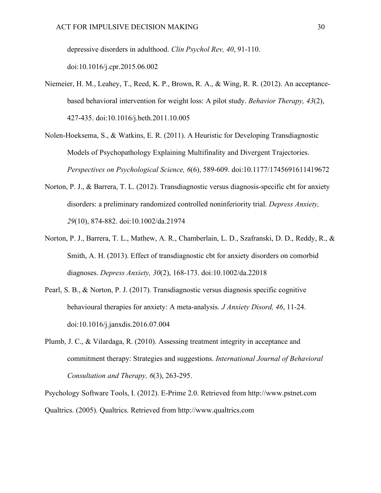depressive disorders in adulthood. *Clin Psychol Rev, 40*, 91-110.

doi:10.1016/j.cpr.2015.06.002

- Niemeier, H. M., Leahey, T., Reed, K. P., Brown, R. A., & Wing, R. R. (2012). An acceptancebased behavioral intervention for weight loss: A pilot study. *Behavior Therapy, 43*(2), 427-435. doi:10.1016/j.beth.2011.10.005
- Nolen-Hoeksema, S., & Watkins, E. R. (2011). A Heuristic for Developing Transdiagnostic Models of Psychopathology Explaining Multifinality and Divergent Trajectories. *Perspectives on Psychological Science, 6*(6), 589-609. doi:10.1177/1745691611419672
- Norton, P. J., & Barrera, T. L. (2012). Transdiagnostic versus diagnosis-specific cbt for anxiety disorders: a preliminary randomized controlled noninferiority trial. *Depress Anxiety, 29*(10), 874-882. doi:10.1002/da.21974
- Norton, P. J., Barrera, T. L., Mathew, A. R., Chamberlain, L. D., Szafranski, D. D., Reddy, R., & Smith, A. H. (2013). Effect of transdiagnostic cbt for anxiety disorders on comorbid diagnoses. *Depress Anxiety, 30*(2), 168-173. doi:10.1002/da.22018
- Pearl, S. B., & Norton, P. J. (2017). Transdiagnostic versus diagnosis specific cognitive behavioural therapies for anxiety: A meta-analysis. *J Anxiety Disord, 46*, 11-24. doi:10.1016/j.janxdis.2016.07.004
- Plumb, J. C., & Vilardaga, R. (2010). Assessing treatment integrity in acceptance and commitment therapy: Strategies and suggestions. *International Journal of Behavioral Consultation and Therapy, 6*(3), 263-295.

Psychology Software Tools, I. (2012). E-Prime 2.0. Retrieved from http://www.pstnet.com Qualtrics. (2005). Qualtrics. Retrieved from http://www.qualtrics.com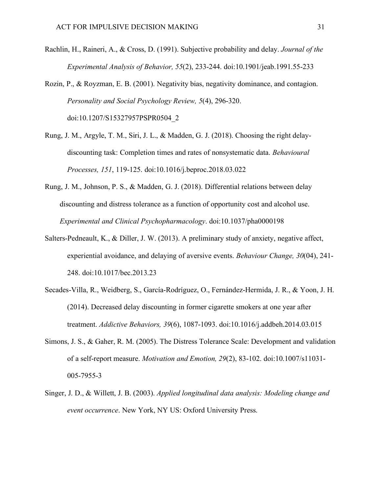Rachlin, H., Raineri, A., & Cross, D. (1991). Subjective probability and delay. *Journal of the Experimental Analysis of Behavior, 55*(2), 233-244. doi:10.1901/jeab.1991.55-233

Rozin, P., & Royzman, E. B. (2001). Negativity bias, negativity dominance, and contagion. *Personality and Social Psychology Review, 5*(4), 296-320. doi:10.1207/S15327957PSPR0504\_2

- Rung, J. M., Argyle, T. M., Siri, J. L., & Madden, G. J. (2018). Choosing the right delaydiscounting task: Completion times and rates of nonsystematic data. *Behavioural Processes, 151*, 119-125. doi:10.1016/j.beproc.2018.03.022
- Rung, J. M., Johnson, P. S., & Madden, G. J. (2018). Differential relations between delay discounting and distress tolerance as a function of opportunity cost and alcohol use. *Experimental and Clinical Psychopharmacology*. doi:10.1037/pha0000198
- Salters-Pedneault, K., & Diller, J. W. (2013). A preliminary study of anxiety, negative affect, experiential avoidance, and delaying of aversive events. *Behaviour Change, 30*(04), 241- 248. doi:10.1017/bec.2013.23
- Secades-Villa, R., Weidberg, S., García-Rodríguez, O., Fernández-Hermida, J. R., & Yoon, J. H. (2014). Decreased delay discounting in former cigarette smokers at one year after treatment. *Addictive Behaviors, 39*(6), 1087-1093. doi:10.1016/j.addbeh.2014.03.015
- Simons, J. S., & Gaher, R. M. (2005). The Distress Tolerance Scale: Development and validation of a self-report measure. *Motivation and Emotion, 29*(2), 83-102. doi:10.1007/s11031- 005-7955-3
- Singer, J. D., & Willett, J. B. (2003). *Applied longitudinal data analysis: Modeling change and event occurrence*. New York, NY US: Oxford University Press.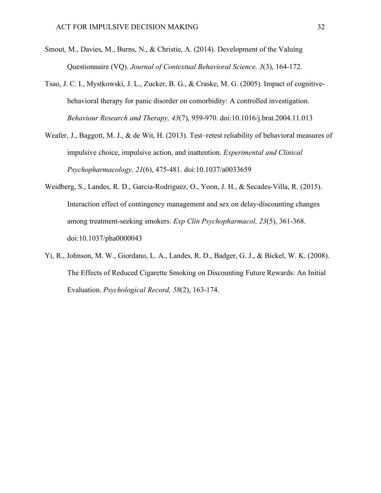- Smout, M., Davies, M., Burns, N., & Christie, A. (2014). Development of the Valuing Questionnaire (VQ). *Journal of Contextual Behavioral Science, 3*(3), 164-172.
- Tsao, J. C. I., Mystkowski, J. L., Zucker, B. G., & Craske, M. G. (2005). Impact of cognitivebehavioral therapy for panic disorder on comorbidity: A controlled investigation. *Behaviour Research and Therapy, 43*(7), 959-970. doi:10.1016/j.brat.2004.11.013
- Weafer, J., Baggott, M. J., & de Wit, H. (2013). Test–retest reliability of behavioral measures of impulsive choice, impulsive action, and inattention. *Experimental and Clinical Psychopharmacology, 21*(6), 475-481. doi:10.1037/a0033659
- Weidberg, S., Landes, R. D., Garcia-Rodriguez, O., Yoon, J. H., & Secades-Villa, R. (2015). Interaction effect of contingency management and sex on delay-discounting changes among treatment-seeking smokers. *Exp Clin Psychopharmacol, 23*(5), 361-368. doi:10.1037/pha0000043
- Yi, R., Johnson, M. W., Giordano, L. A., Landes, R. D., Badger, G. J., & Bickel, W. K. (2008). The Effects of Reduced Cigarette Smoking on Discounting Future Rewards: An Initial Evaluation. *Psychological Record, 58*(2), 163-174.